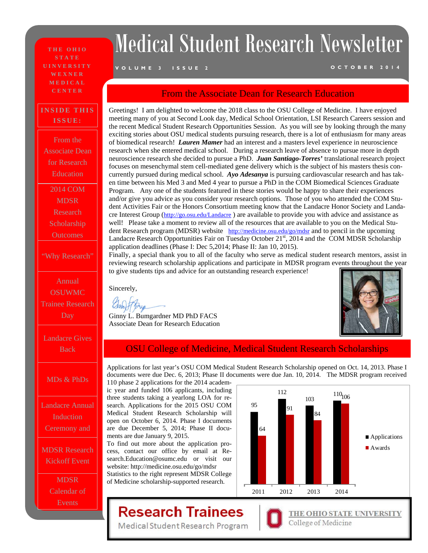**THE OHIO STATE UINVERSITY WEXNER MEDICAL CENTER** 

#### **INSIDE THIS ISSUE:**

From the Associate Dean for Research Education 2014 COM

MDSR Research Scholarship **Outcomes** 

"Why Research"

Annual OSUWMC Trainee Research Day

Landacre Gives Back

MDs & PhDs

Landacre Annual Induction Ceremony and

MDSR Research Kickoff Event

> MDSR Calendar of Events

# Medical Student Research Newsletter

#### **VOLUME 3 ISSUE 2 OCTOBER 2014**

#### From the Associate Dean for Research Education

Greetings! I am delighted to welcome the 2018 class to the OSU College of Medicine. I have enjoyed meeting many of you at Second Look day, Medical School Orientation, LSI Research Careers session and the recent Medical Student Research Opportunities Session. As you will see by looking through the many exciting stories about OSU medical students pursuing research, there is a lot of enthusiasm for many areas of biomedical research! *Lauren Mamer* had an interest and a masters level experience in neuroscience research when she entered medical school. During a research leave of absence to pursue more in depth neuroscience research she decided to pursue a PhD. *Juan Santiago-Torres'* translational research project focuses on mesenchymal stem cell-mediated gene delivery which is the subject of his masters thesis concurrently pursued during medical school. *Ayo Adesanya* is pursuing cardiovascular research and has taken time between his Med 3 and Med 4 year to pursue a PhD in the COM Biomedical Sciences Graduate Program. Any one of the students featured in these stories would be happy to share their experiences and/or give you advice as you consider your research options. Those of you who attended the COM Student Activities Fair or the Honors Consortium meeting know that the Landacre Honor Society and Landacre Interest Group (http://go.osu.edu/Landacre) are available to provide you with advice and assistance as well! Please take a moment to review all of the resources that are available to you on the Medical Student Research program (MDSR) website <http://medicine.osu.edu/go/mdsr>and to pencil in the upcoming Landacre Research Opportunities Fair on Tuesday October 21<sup>st</sup>, 2014 and the COM MDSR Scholarship application deadlines (Phase I: Dec 5,2014; Phase II: Jan 10, 2015).

Finally, a special thank you to all of the faculty who serve as medical student research mentors, assist in reviewing research scholarship applications and participate in MDSR program events throughout the year to give students tips and advice for an outstanding research experience!

Sincerely,

Ginny L. Bumgardner MD PhD FACS Associate Dean for Research Education



#### OSU College of Medicine, Medical Student Research Scholarships

Applications for last year's OSU COM Medical Student Research Scholarship opened on Oct. 14, 2013. Phase I documents were due Dec. 6, 2013; Phase II documents were due Jan. 10, 2014. The MDSR program received

110 phase 2 applications for the 2014 academic year and funded 106 applicants, including three students taking a yearlong LOA for research. Applications for the 2015 OSU COM Medical Student Research Scholarship will open on October 6, 2014. Phase I documents are due December 5, 2014; Phase II documents are due January 9, 2015.

To find out more about the application process, contact our office by email at Research.Education@osumc.edu or visit our website: http://medicine.osu.edu/go/mdsr Statistics to the right represent MDSR College of Medicine scholarship-supported research.



### **Research Trainees**

Medical Student Research Program



THE OHIO STATE UNIVERSITY College of Medicine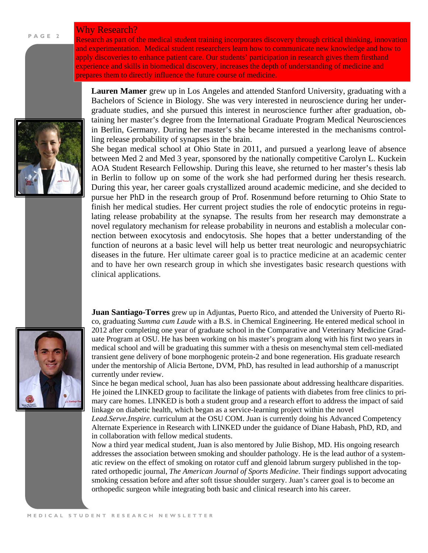#### Why Research?

Research as part of the medical student training incorporates discovery through critical thinking, innovation and experimentation. Medical student researchers learn how to communicate new knowledge and how to apply discoveries to enhance patient care. Our students' participation in research gives them firsthand experience and skills in biomedical discovery, increases the depth of understanding of medicine and prepares them to directly influence the future course of medicine.



**Lauren Mamer** grew up in Los Angeles and attended Stanford University, graduating with a Bachelors of Science in Biology. She was very interested in neuroscience during her undergraduate studies, and she pursued this interest in neuroscience further after graduation, obtaining her master's degree from the International Graduate Program Medical Neurosciences in Berlin, Germany. During her master's she became interested in the mechanisms controlling release probability of synapses in the brain.

She began medical school at Ohio State in 2011, and pursued a yearlong leave of absence between Med 2 and Med 3 year, sponsored by the nationally competitive Carolyn L. Kuckein AOA Student Research Fellowship. During this leave, she returned to her master's thesis lab in Berlin to follow up on some of the work she had performed during her thesis research. During this year, her career goals crystallized around academic medicine, and she decided to pursue her PhD in the research group of Prof. Rosenmund before returning to Ohio State to finish her medical studies. Her current project studies the role of endocytic proteins in regulating release probability at the synapse. The results from her research may demonstrate a novel regulatory mechanism for release probability in neurons and establish a molecular connection between exocytosis and endocytosis. She hopes that a better understanding of the function of neurons at a basic level will help us better treat neurologic and neuropsychiatric diseases in the future. Her ultimate career goal is to practice medicine at an academic center and to have her own research group in which she investigates basic research questions with clinical applications.

**Juan Santiago-Torres** grew up in Adjuntas, Puerto Rico, and attended the University of Puerto Rico, graduating *Summa cum Laude* with a B.S. in Chemical Engineering. He entered medical school in 2012 after completing one year of graduate school in the Comparative and Veterinary Medicine Graduate Program at OSU. He has been working on his master's program along with his first two years in medical school and will be graduating this summer with a thesis on mesenchymal stem cell-mediated transient gene delivery of bone morphogenic protein-2 and bone regeneration. His graduate research under the mentorship of Alicia Bertone, DVM, PhD, has resulted in lead authorship of a manuscript currently under review.

Since he began medical school, Juan has also been passionate about addressing healthcare disparities. He joined the LINKED group to facilitate the linkage of patients with diabetes from free clinics to primary care homes. LINKED is both a student group and a research effort to address the impact of said linkage on diabetic health, which began as a service-learning project within the novel

*Lead.Serve.Inspire.* curriculum at the OSU COM. Juan is currently doing his Advanced Competency Alternate Experience in Research with LINKED under the guidance of Diane Habash, PhD, RD, and in collaboration with fellow medical students.

Now a third year medical student, Juan is also mentored by Julie Bishop, MD. His ongoing research addresses the association between smoking and shoulder pathology. He is the lead author of a systematic review on the effect of smoking on rotator cuff and glenoid labrum surgery published in the toprated orthopedic journal, *The American Journal of Sports Medicine*. Their findings support advocating smoking cessation before and after soft tissue shoulder surgery. Juan's career goal is to become an orthopedic surgeon while integrating both basic and clinical research into his career.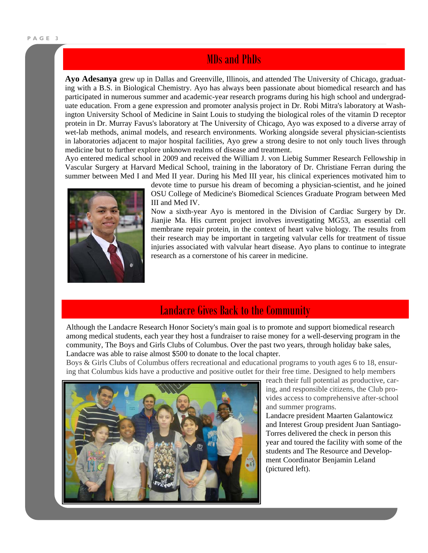### MDs and PhDs

**Ayo Adesanya** grew up in Dallas and Greenville, Illinois, and attended The University of Chicago, graduating with a B.S. in Biological Chemistry. Ayo has always been passionate about biomedical research and has participated in numerous summer and academic-year research programs during his high school and undergraduate education. From a gene expression and promoter analysis project in Dr. Robi Mitra's laboratory at Washington University School of Medicine in Saint Louis to studying the biological roles of the vitamin D receptor protein in Dr. Murray Favus's laboratory at The University of Chicago, Ayo was exposed to a diverse array of wet-lab methods, animal models, and research environments. Working alongside several physician-scientists in laboratories adjacent to major hospital facilities, Ayo grew a strong desire to not only touch lives through medicine but to further explore unknown realms of disease and treatment.

Ayo entered medical school in 2009 and received the William J. von Liebig Summer Research Fellowship in Vascular Surgery at Harvard Medical School, training in the laboratory of Dr. Christiane Ferran during the summer between Med I and Med II year. During his Med III year, his clinical experiences motivated him to



devote time to pursue his dream of becoming a physician-scientist, and he joined OSU College of Medicine's Biomedical Sciences Graduate Program between Med III and Med IV.

Now a sixth-year Ayo is mentored in the Division of Cardiac Surgery by Dr. Jianjie Ma. His current project involves investigating MG53, an essential cell membrane repair protein, in the context of heart valve biology. The results from their research may be important in targeting valvular cells for treatment of tissue injuries associated with valvular heart disease. Ayo plans to continue to integrate research as a cornerstone of his career in medicine.

#### Landacre Gives Back to the Community

Although the Landacre Research Honor Society's main goal is to promote and support biomedical research among medical students, each year they host a fundraiser to raise money for a well-deserving program in the community, The Boys and Girls Clubs of Columbus. Over the past two years, through holiday bake sales, Landacre was able to raise almost \$500 to donate to the local chapter.

Boys & Girls Clubs of Columbus offers recreational and educational programs to youth ages 6 to 18, ensuring that Columbus kids have a productive and positive outlet for their free time. Designed to help members



reach their full potential as productive, caring, and responsible citizens, the Club provides access to comprehensive after-school and summer programs.

Landacre president Maarten Galantowicz and Interest Group president Juan Santiago-Torres delivered the check in person this year and toured the facility with some of the students and The Resource and Development Coordinator Benjamin Leland (pictured left).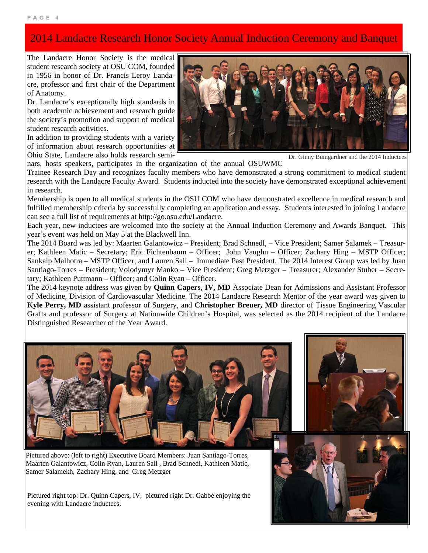### 2014 Landacre Research Honor Society Annual Induction Ceremony and Banquet

The Landacre Honor Society is the medical student research society at OSU COM, founded in 1956 in honor of Dr. Francis Leroy Landacre, professor and first chair of the Department of Anatomy.

Dr. Landacre's exceptionally high standards in both academic achievement and research guide the society's promotion and support of medical student research activities.

In addition to providing students with a variety of information about research opportunities at Ohio State, Landacre also holds research semi-



Dr. Ginny Bumgardner and the 2014 Inductees

nars, hosts speakers, participates in the organization of the annual OSUWMC Trainee Research Day and recognizes faculty members who have demonstrated a strong commitment to medical student research with the Landacre Faculty Award. Students inducted into the society have demonstrated exceptional achievement in research.

Membership is open to all medical students in the OSU COM who have demonstrated excellence in medical research and fulfilled membership criteria by successfully completing an application and essay. Students interested in joining Landacre can see a full list of requirements at <http://go.osu.edu/Landacre>.

Each year, new inductees are welcomed into the society at the Annual Induction Ceremony and Awards Banquet. This year's event was held on May 5 at the Blackwell Inn.

The 2014 Board was led by: Maarten Galantowicz – President; Brad Schnedl, – Vice President; Samer Salamek – Treasurer; Kathleen Matic – Secretary; Eric Fichtenbaum – Officer; John Vaughn – Officer; Zachary Hing – MSTP Officer; Sankalp Malhotra – MSTP Officer; and Lauren Sall – Immediate Past President. The 2014 Interest Group was led by Juan Santiago-Torres – President; Volodymyr Manko – Vice President; Greg Metzger – Treasurer; Alexander Stuber – Secretary; Kathleen Puttmann – Officer; and Colin Ryan – Officer.

The 2014 keynote address was given by **Quinn Capers, IV, MD** Associate Dean for Admissions and Assistant Professor of Medicine, Division of Cardiovascular Medicine. The 2014 Landacre Research Mentor of the year award was given to **Kyle Perry, MD** assistant professor of Surgery, and **Christopher Breuer, MD** director of Tissue Engineering Vascular Grafts and professor of Surgery at Nationwide Children's Hospital, was selected as the 2014 recipient of the Landacre Distinguished Researcher of the Year Award.







Pictured right top: Dr. Quinn Capers, IV, pictured right Dr. Gabbe enjoying the evening with Landacre inductees.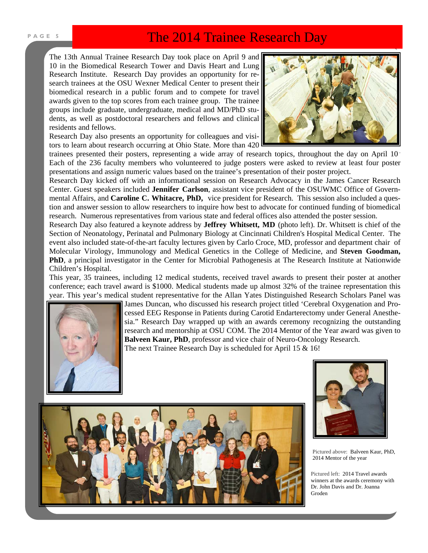### **PAGE 5 The 2014 Trainee Research Day**

The 13th Annual Trainee Research Day took place on April 9 and 10 in the Biomedical Research Tower and Davis Heart and Lung Research Institute. Research Day provides an opportunity for research trainees at the OSU Wexner Medical Center to present their biomedical research in a public forum and to compete for travel awards given to the top scores from each trainee group. The trainee groups include graduate, undergraduate, medical and MD/PhD students, as well as postdoctoral researchers and fellows and clinical residents and fellows.

Research Day also presents an opportunity for colleagues and visitors to learn about research occurring at Ohio State. More than 420



trainees presented their posters, representing a wide array of research topics, throughout the day on April 10 . Each of the 236 faculty members who volunteered to judge posters were asked to review at least four poster presentations and assign numeric values based on the trainee's presentation of their poster project.

Research Day kicked off with an informational session on Research Advocacy in the James Cancer Research Center. Guest speakers included **Jennifer Carlson**, assistant vice president of the OSUWMC Office of Governmental Affairs, and **Caroline C. Whitacre, PhD,** vice president for Research. This session also included a question and answer session to allow researchers to inquire how best to advocate for continued funding of biomedical research. Numerous representatives from various state and federal offices also attended the poster session.

Research Day also featured a keynote address by **Jeffrey Whitsett, MD** (photo left). Dr. Whitsett is chief of the Section of Neonatology, Perinatal and Pulmonary Biology at Cincinnati Children's Hospital Medical Center. The event also included state-of-the-art faculty lectures given by [Carlo](http://www.cancergenetics.med.ohio-state.edu/4617.cfm) Croce, MD, professor and department chair of Molecular Virology, Immunology and Medical Genetics in the College of Medicine, and **[Steven Goodman](http://www.nationwidechildrens.org/steven-d-goodman), PhD**, a principal investigator in the Center for Microbial Pathogenesis at The Research Institute at Nationwide Children's Hospital.

This year, 35 trainees, including 12 medical students, received travel awards to present their poster at another conference; each travel award is \$1000. Medical students made up almost 32% of the trainee representation this year. This year's medical student representative for the Allan Yates Distinguished Research Scholars Panel was



James Duncan, who discussed his research project titled 'Cerebral Oxygenation and Processed EEG Response in Patients during Carotid Endarterectomy under General Anesthesia." Research Day wrapped up with an awards ceremony recognizing the outstanding research and mentorship at OSU COM. The 2014 Mentor of the Year award was given to **Balveen Kaur, PhD**, professor and vice chair of Neuro-Oncology Research. The next Trainee Research Day is scheduled for April 15 & 16!



Pictured above: Balveen Kaur, PhD, 2014 Mentor of the year

Pictured left: 2014 Travel awards winners at the awards ceremony with Dr. John Davis and Dr. Joanna Groden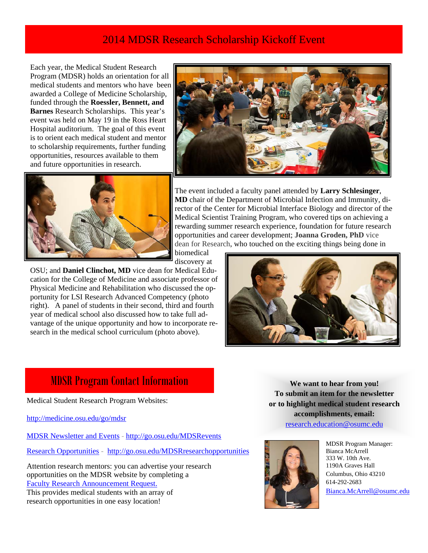### 2014 MDSR Research Scholarship Kickoff Event

Each year, the Medical Student Research Program (MDSR) holds an orientation for all medical students and mentors who have been awarded a College of Medicine Scholarship, funded through the **Roessler, Bennett, and Barnes** Research Scholarships. This year's event was held on May 19 in the Ross Heart Hospital auditorium. The goal of this event is to orient each medical student and mentor to scholarship requirements, further funding opportunities, resources available to them and future opportunities in research.



The event included a faculty panel attended by **Larry Schlesinger**, **MD** chair of the Department of Microbial Infection and Immunity, director of the Center for Microbial Interface Biology and director of the Medical Scientist Training Program, who covered tips on achieving a rewarding summer research experience, foundation for future research opportunities and career development; **Joanna Groden, PhD** vice dean for Research, who touched on the exciting things being done in

biomedical discovery at

OSU; and **Daniel Clinchot, MD** vice dean for Medical Education for the College of Medicine and associate professor of Physical Medicine and Rehabilitation who discussed the opportunity for LSI Research Advanced Competency (photo right). A panel of students in their second, third and fourth year of medical school also discussed how to take full advantage of the unique opportunity and how to incorporate research in the medical school curriculum (photo above).



### MDSR Program Contact Information

Medical Student Research Program Websites:

<http://medicine.osu.edu/go/mdsr>

MDSR Newsletter and Events - <http://go.osu.edu/MDSRevents>

[Research Opportunities](http://medicine.osu.edu/research_ed/medical_students/researchopportunities/pages/index.aspx) **-** <http://go.osu.edu/MDSRresearchopportunities>

Attention research mentors: you can advertise your research opportunities on the MDSR website by completing a [Faculty Research Announcement Request.](http://medicine.osu.edu/research_ed/MEDICAL_STUDENTS/RESEARCHOPPORTUNITIES/FACULTYREQ/Pages/index.aspx)  This provides medical students with an array of

research opportunities in one easy location!

**We want to hear from you! To submit an item for the newsletter or to highlight medical student research accomplishments, email:** [research.education@osumc.edu](mailto:research.education@osumc.edu)



MDSR Program Manager: Bianca McArrell 333 W. 10th Ave. 1190A Graves Hall Columbus, Ohio 43210 614-292-2683 [Bianca.McArrell@osumc.edu](mailto:Bianca.mcarrell@osumc.edu)